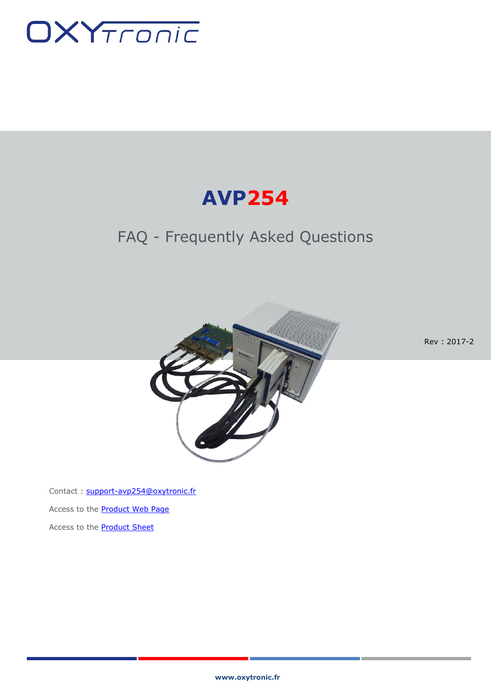

# **AVP254**

## FAQ - Frequently Asked Questions



Rev : 2017-2

Contact : [support-avp254@oxytronic.fr](mailto:support-avp254@oxytronic.fr) Access to the **Product Web Page** Access to the **Product Sheet**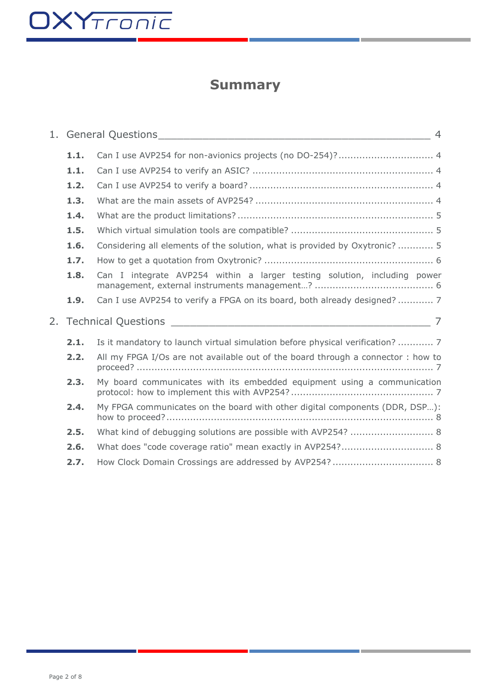# OXYTronic

## **Summary**

| 1.1. |                                                                                                                                                                                                                                                                                                                                                                                                                                                                                                                                                                                                                                                                                                                                                                 |
|------|-----------------------------------------------------------------------------------------------------------------------------------------------------------------------------------------------------------------------------------------------------------------------------------------------------------------------------------------------------------------------------------------------------------------------------------------------------------------------------------------------------------------------------------------------------------------------------------------------------------------------------------------------------------------------------------------------------------------------------------------------------------------|
| 1.1. |                                                                                                                                                                                                                                                                                                                                                                                                                                                                                                                                                                                                                                                                                                                                                                 |
| 1.2. |                                                                                                                                                                                                                                                                                                                                                                                                                                                                                                                                                                                                                                                                                                                                                                 |
| 1.3. |                                                                                                                                                                                                                                                                                                                                                                                                                                                                                                                                                                                                                                                                                                                                                                 |
| 1.4. |                                                                                                                                                                                                                                                                                                                                                                                                                                                                                                                                                                                                                                                                                                                                                                 |
| 1.5. |                                                                                                                                                                                                                                                                                                                                                                                                                                                                                                                                                                                                                                                                                                                                                                 |
| 1.6. |                                                                                                                                                                                                                                                                                                                                                                                                                                                                                                                                                                                                                                                                                                                                                                 |
| 1.7. |                                                                                                                                                                                                                                                                                                                                                                                                                                                                                                                                                                                                                                                                                                                                                                 |
| 1.8. |                                                                                                                                                                                                                                                                                                                                                                                                                                                                                                                                                                                                                                                                                                                                                                 |
| 1.9. |                                                                                                                                                                                                                                                                                                                                                                                                                                                                                                                                                                                                                                                                                                                                                                 |
|      |                                                                                                                                                                                                                                                                                                                                                                                                                                                                                                                                                                                                                                                                                                                                                                 |
| 2.1. |                                                                                                                                                                                                                                                                                                                                                                                                                                                                                                                                                                                                                                                                                                                                                                 |
| 2.2. |                                                                                                                                                                                                                                                                                                                                                                                                                                                                                                                                                                                                                                                                                                                                                                 |
| 2.3. |                                                                                                                                                                                                                                                                                                                                                                                                                                                                                                                                                                                                                                                                                                                                                                 |
| 2.4. |                                                                                                                                                                                                                                                                                                                                                                                                                                                                                                                                                                                                                                                                                                                                                                 |
| 2.5. |                                                                                                                                                                                                                                                                                                                                                                                                                                                                                                                                                                                                                                                                                                                                                                 |
| 2.6. |                                                                                                                                                                                                                                                                                                                                                                                                                                                                                                                                                                                                                                                                                                                                                                 |
| 2.7. |                                                                                                                                                                                                                                                                                                                                                                                                                                                                                                                                                                                                                                                                                                                                                                 |
|      | Can I use AVP254 for non-avionics projects (no DO-254)?  4<br>Considering all elements of the solution, what is provided by Oxytronic?  5<br>Can I integrate AVP254 within a larger testing solution, including power<br>Can I use AVP254 to verify a FPGA on its board, both already designed?  7<br>Is it mandatory to launch virtual simulation before physical verification?  7<br>All my FPGA I/Os are not available out of the board through a connector : how to<br>My board communicates with its embedded equipment using a communication<br>My FPGA communicates on the board with other digital components (DDR, DSP):<br>What kind of debugging solutions are possible with AVP254?  8<br>What does "code coverage ratio" mean exactly in AVP254? 8 |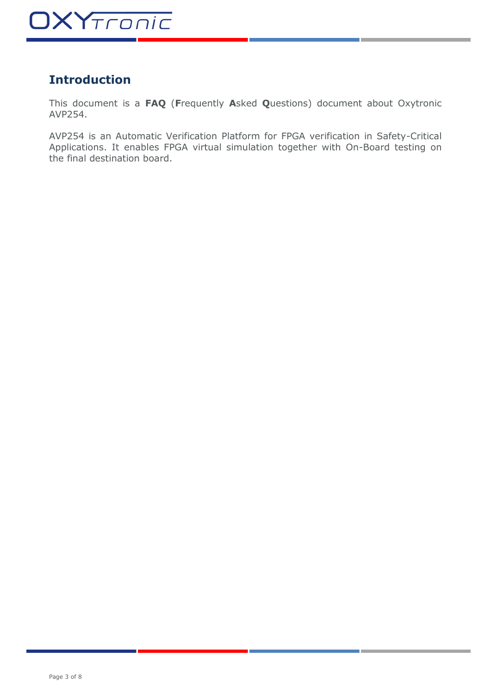## **Introduction**

This document is a **FAQ** (**F**requently **A**sked **Q**uestions) document about Oxytronic AVP254.

AVP254 is an Automatic Verification Platform for FPGA verification in Safety-Critical Applications. It enables FPGA virtual simulation together with On-Board testing on the final destination board.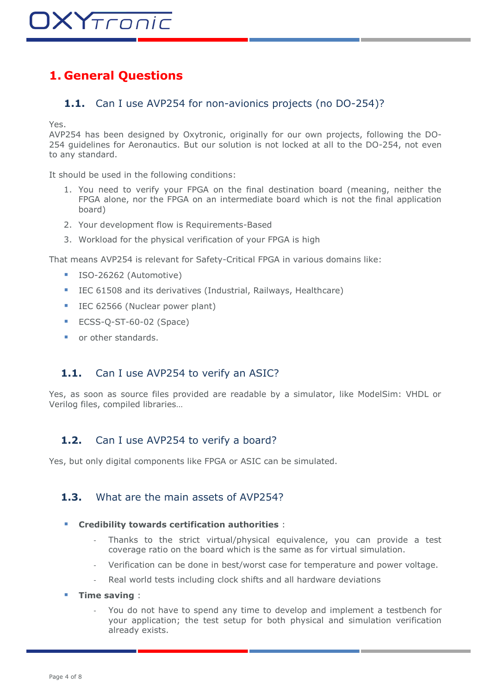### <span id="page-3-1"></span><span id="page-3-0"></span>**1. General Questions**

#### **1.1.** Can I use AVP254 for non-avionics projects (no DO-254)?

Yes.

AVP254 has been designed by Oxytronic, originally for our own projects, following the DO-254 guidelines for Aeronautics. But our solution is not locked at all to the DO-254, not even to any standard.

It should be used in the following conditions:

- 1. You need to verify your FPGA on the final destination board (meaning, neither the FPGA alone, nor the FPGA on an intermediate board which is not the final application board)
- 2. Your development flow is Requirements-Based
- 3. Workload for the physical verification of your FPGA is high

That means AVP254 is relevant for Safety-Critical FPGA in various domains like:

- ISO-26262 (Automotive)
- IEC 61508 and its derivatives (Industrial, Railways, Healthcare)
- IEC 62566 (Nuclear power plant)
- ECSS-Q-ST-60-02 (Space)
- or other standards.

#### <span id="page-3-2"></span>1.1. Can I use AVP254 to verify an ASIC?

Yes, as soon as source files provided are readable by a simulator, like ModelSim: VHDL or Verilog files, compiled libraries…

#### <span id="page-3-3"></span>**1.2.** Can I use AVP254 to verify a board?

<span id="page-3-4"></span>Yes, but only digital components like FPGA or ASIC can be simulated.

#### **1.3.** What are the main assets of AVP254?

#### **Credibility towards certification authorities** :

- Thanks to the strict virtual/physical equivalence, you can provide a test coverage ratio on the board which is the same as for virtual simulation.
- Verification can be done in best/worst case for temperature and power voltage.
- Real world tests including clock shifts and all hardware deviations
- **Time saving** :
	- You do not have to spend any time to develop and implement a testbench for your application; the test setup for both physical and simulation verification already exists.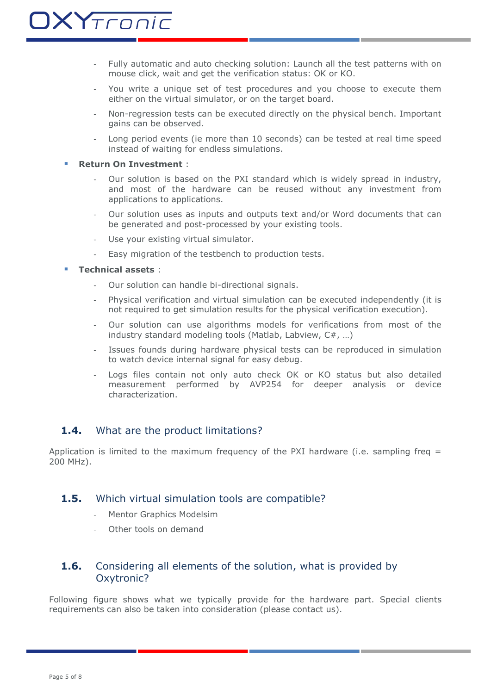- Fully automatic and auto checking solution: Launch all the test patterns with on mouse click, wait and get the verification status: OK or KO.
- You write a unique set of test procedures and you choose to execute them either on the virtual simulator, or on the target board.
- Non-regression tests can be executed directly on the physical bench. Important gains can be observed.
- Long period events (ie more than 10 seconds) can be tested at real time speed instead of waiting for endless simulations.

#### **Return On Investment** :

- Our solution is based on the PXI standard which is widely spread in industry, and most of the hardware can be reused without any investment from applications to applications.
- Our solution uses as inputs and outputs text and/or Word documents that can be generated and post-processed by your existing tools.
- Use your existing virtual simulator.
- Easy migration of the testbench to production tests.

#### **Technical assets** :

- Our solution can handle bi-directional signals.
- Physical verification and virtual simulation can be executed independently (it is not required to get simulation results for the physical verification execution).
- Our solution can use algorithms models for verifications from most of the industry standard modeling tools (Matlab, Labview, C#, …)
- Issues founds during hardware physical tests can be reproduced in simulation to watch device internal signal for easy debug.
- Logs files contain not only auto check OK or KO status but also detailed measurement performed by AVP254 for deeper analysis or device characterization.

#### <span id="page-4-0"></span>1.4. What are the product limitations?

Application is limited to the maximum frequency of the PXI hardware (i.e. sampling freq  $=$ 200 MHz).

#### <span id="page-4-1"></span>**1.5.** Which virtual simulation tools are compatible?

- Mentor Graphics Modelsim
- Other tools on demand

#### <span id="page-4-2"></span>**1.6.** Considering all elements of the solution, what is provided by Oxytronic?

Following figure shows what we typically provide for the hardware part. Special clients requirements can also be taken into consideration (please contact us).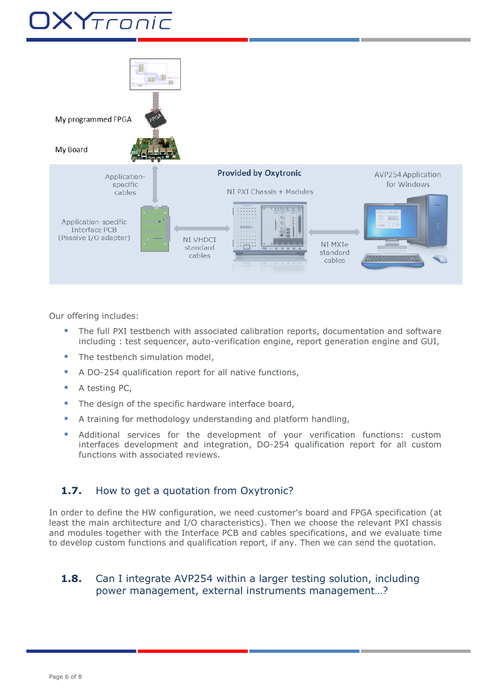# XYTronic



Our offering includes:

- The full PXI testbench with associated calibration reports, documentation and software including : test sequencer, auto-verification engine, report generation engine and GUI,
- The testbench simulation model,
- A DO-254 qualification report for all native functions,
- A testing PC,
- The design of the specific hardware interface board,
- A training for methodology understanding and platform handling,
- Additional services for the development of your verification functions: custom interfaces development and integration, DO-254 qualification report for all custom functions with associated reviews.

#### <span id="page-5-0"></span>**1.7.** How to get a quotation from Oxytronic?

In order to define the HW configuration, we need customer's board and FPGA specification (at least the main architecture and I/O characteristics). Then we choose the relevant PXI chassis and modules together with the Interface PCB and cables specifications, and we evaluate time to develop custom functions and qualification report, if any. Then we can send the quotation.

#### <span id="page-5-1"></span>**1.8.** Can I integrate AVP254 within a larger testing solution, including power management, external instruments management…?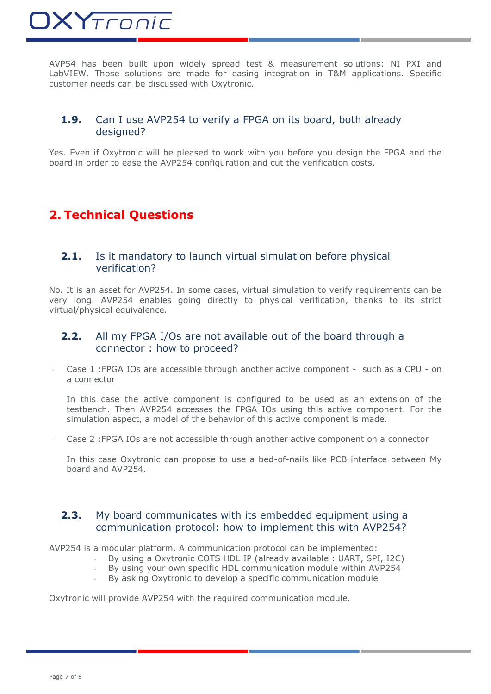AVP54 has been built upon widely spread test & measurement solutions: NI PXI and LabVIEW. Those solutions are made for easing integration in T&M applications. Specific customer needs can be discussed with Oxytronic.

#### <span id="page-6-0"></span>**1.9.** Can I use AVP254 to verify a FPGA on its board, both already designed?

Yes. Even if Oxytronic will be pleased to work with you before you design the FPGA and the board in order to ease the AVP254 configuration and cut the verification costs.

### <span id="page-6-1"></span>**2. Technical Questions**

#### <span id="page-6-2"></span>**2.1.** Is it mandatory to launch virtual simulation before physical verification?

No. It is an asset for AVP254. In some cases, virtual simulation to verify requirements can be very long. AVP254 enables going directly to physical verification, thanks to its strict virtual/physical equivalence.

#### <span id="page-6-3"></span>**2.2.** All my FPGA I/Os are not available out of the board through a connector : how to proceed?

Case 1 : FPGA IOs are accessible through another active component - such as a CPU - on a connector

In this case the active component is configured to be used as an extension of the testbench. Then AVP254 accesses the FPGA IOs using this active component. For the simulation aspect, a model of the behavior of this active component is made.

Case 2 : FPGA IOs are not accessible through another active component on a connector

In this case Oxytronic can propose to use a bed-of-nails like PCB interface between My board and AVP254.

#### <span id="page-6-4"></span>**2.3.** My board communicates with its embedded equipment using a communication protocol: how to implement this with AVP254?

AVP254 is a modular platform. A communication protocol can be implemented:

- By using a Oxytronic COTS HDL IP (already available : UART, SPI, I2C)
- By using your own specific HDL communication module within AVP254
- By asking Oxytronic to develop a specific communication module

Oxytronic will provide AVP254 with the required communication module.